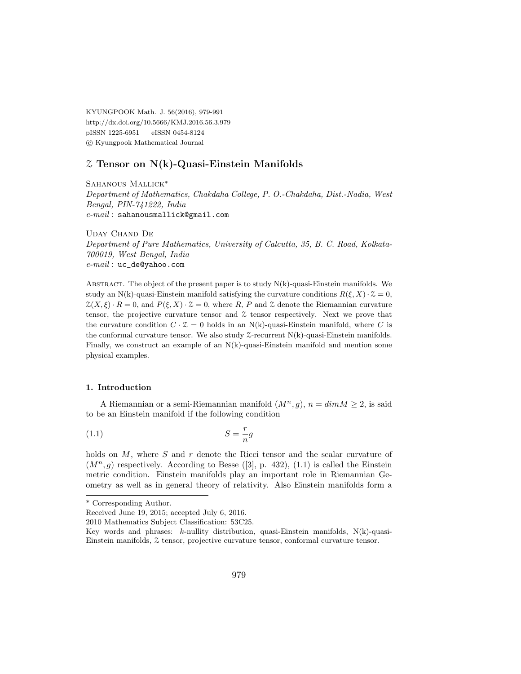KYUNGPOOK Math. J. 56(2016), 979-991 http://dx.doi.org/10.5666/KMJ.2016.56.3.979 pISSN 1225-6951 eISSN 0454-8124 c Kyungpook Mathematical Journal

### Z Tensor on N(k)-Quasi-Einstein Manifolds

SAHANOUS MALLICK<sup>\*</sup>

Department of Mathematics, Chakdaha College, P. O.-Chakdaha, Dist.-Nadia, West Bengal, PIN-741222, India e-mail : sahanousmallick@gmail.com

Uday Chand De Department of Pure Mathematics, University of Calcutta, 35, B. C. Road, Kolkata-700019, West Bengal, India  $e$ - $mail$ : uc\_de@yahoo.com

ABSTRACT. The object of the present paper is to study  $N(k)$ -quasi-Einstein manifolds. We study an N(k)-quasi-Einstein manifold satisfying the curvature conditions  $R(\xi, X) \cdot \mathcal{Z} = 0$ ,  $\mathcal{Z}(X,\xi) \cdot R = 0$ , and  $P(\xi, X) \cdot \mathcal{Z} = 0$ , where R, P and Z denote the Riemannian curvature tensor, the projective curvature tensor and  $\mathcal Z$  tensor respectively. Next we prove that the curvature condition  $C \cdot \mathcal{Z} = 0$  holds in an N(k)-quasi-Einstein manifold, where C is the conformal curvature tensor. We also study  $\mathcal{Z}\text{-recurrent N(k)-quasi-Einstein manifolds.}$ Finally, we construct an example of an N(k)-quasi-Einstein manifold and mention some physical examples.

### 1. Introduction

A Riemannian or a semi-Riemannian manifold  $(M^n, q)$ ,  $n = dim M > 2$ , is said to be an Einstein manifold if the following condition

$$
(1.1)\t\t\t S = \frac{r}{n}g
$$

holds on  $M$ , where  $S$  and  $r$  denote the Ricci tensor and the scalar curvature of  $(M<sup>n</sup>, q)$  respectively. According to Besse ([3], p. 432), (1.1) is called the Einstein metric condition. Einstein manifolds play an important role in Riemannian Geometry as well as in general theory of relativity. Also Einstein manifolds form a

<sup>\*</sup> Corresponding Author.

Received June 19, 2015; accepted July 6, 2016.

<sup>2010</sup> Mathematics Subject Classification: 53C25.

Key words and phrases:  $k$ -nullity distribution, quasi-Einstein manifolds,  $N(k)$ -quasi-Einstein manifolds, Z tensor, projective curvature tensor, conformal curvature tensor.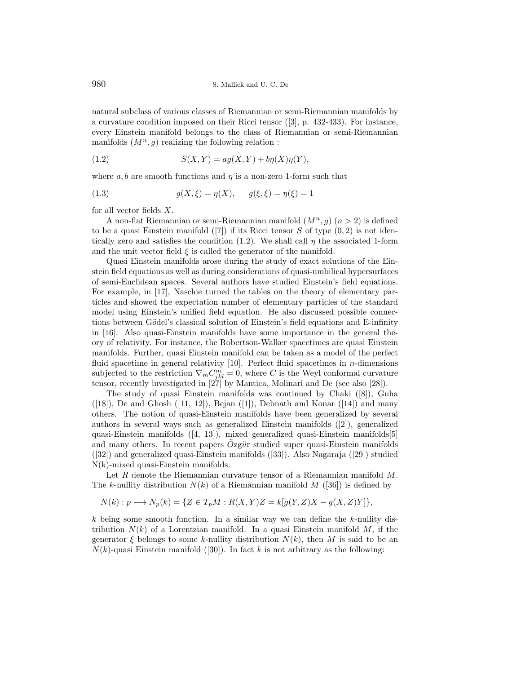natural subclass of various classes of Riemannian or semi-Riemannian manifolds by a curvature condition imposed on their Ricci tensor ([3], p. 432-433). For instance, every Einstein manifold belongs to the class of Riemannian or semi-Riemannian manifolds  $(M^n, g)$  realizing the following relation :

$$
(1.2) \tS(X,Y) = ag(X,Y) + b\eta(X)\eta(Y),
$$

where  $a, b$  are smooth functions and  $\eta$  is a non-zero 1-form such that

(1.3) 
$$
g(X,\xi) = \eta(X), \qquad g(\xi,\xi) = \eta(\xi) = 1
$$

for all vector fields  $X$ .

A non-flat Riemannian or semi-Riemannian manifold  $(M^n, g)(n > 2)$  is defined to be a quasi Einstein manifold  $([7])$  if its Ricci tensor S of type  $(0, 2)$  is not identically zero and satisfies the condition (1.2). We shall call  $\eta$  the associated 1-form and the unit vector field  $\xi$  is called the generator of the manifold.

Quasi Einstein manifolds arose during the study of exact solutions of the Einstein field equations as well as during considerations of quasi-umbilical hypersurfaces of semi-Euclidean spaces. Several authors have studied Einstein's field equations. For example, in [17], Naschie turned the tables on the theory of elementary particles and showed the expectation number of elementary particles of the standard model using Einstein's unified field equation. He also discussed possible connections between Gödel's classical solution of Einstein's field equations and E-infinity in [16]. Also quasi-Einstein manifolds have some importance in the general theory of relativity. For instance, the Robertson-Walker spacetimes are quasi Einstein manifolds. Further, quasi Einstein manifold can be taken as a model of the perfect fluid spacetime in general relativity  $[10]$ . Perfect fluid spacetimes in *n*-dimensions subjected to the restriction  $\nabla_m C^m_{jkl} = 0$ , where C is the Weyl conformal curvature tensor, recently investigated in [27] by Mantica, Molinari and De (see also [28]).

The study of quasi Einstein manifolds was continued by Chaki ([8]), Guha  $([18])$ , De and Ghosh  $([11, 12])$ , Bejan  $([1])$ , Debnath and Konar  $([14])$  and many others. The notion of quasi-Einstein manifolds have been generalized by several authors in several ways such as generalized Einstein manifolds ([2]), generalized quasi-Einstein manifolds ([4, 13]), mixed generalized quasi-Einstein manifolds[5] and many others. In recent papers  $Ozgür$  studied super quasi-Einstein manifolds ([32]) and generalized quasi-Einstein manifolds ([33]). Also Nagaraja ([29]) studied N(k)-mixed quasi-Einstein manifolds.

Let R denote the Riemannian curvature tensor of a Riemannian manifold M. The k-nullity distribution  $N(k)$  of a Riemannian manifold M ([36]) is defined by

$$
N(k): p \longrightarrow N_p(k) = \{ Z \in T_pM : R(X,Y)Z = k[g(Y,Z)X - g(X,Z)Y] \},
$$

 $k$  being some smooth function. In a similar way we can define the  $k$ -nullity distribution  $N(k)$  of a Lorentzian manifold. In a quasi Einstein manifold M, if the generator  $\xi$  belongs to some k-nullity distribution  $N(k)$ , then M is said to be an  $N(k)$ -quasi Einstein manifold ([30]). In fact k is not arbitrary as the following: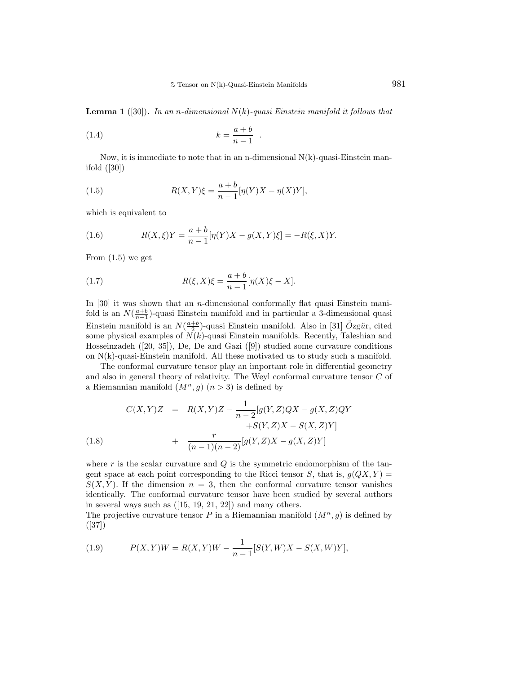**Lemma 1** ([30]). In an n-dimensional  $N(k)$ -quasi Einstein manifold it follows that

.

$$
(1.4) \t\t k = \frac{a+b}{n-1}
$$

Now, it is immediate to note that in an n-dimensional  $N(k)$ -quasi-Einstein manifold ([30])

(1.5) 
$$
R(X,Y)\xi = \frac{a+b}{n-1}[\eta(Y)X - \eta(X)Y],
$$

which is equivalent to

(1.6) 
$$
R(X,\xi)Y = \frac{a+b}{n-1}[\eta(Y)X - g(X,Y)\xi] = -R(\xi,X)Y.
$$

From  $(1.5)$  we get

(1.7) 
$$
R(\xi, X)\xi = \frac{a+b}{n-1}[\eta(X)\xi - X].
$$

In  $[30]$  it was shown that an *n*-dimensional conformally flat quasi Einstein manifold is an  $N(\frac{a+b}{n-1})$ -quasi Einstein manifold and in particular a 3-dimensional quasi Einstein manifold is an  $N(\frac{a+b}{2})$ -quasi Einstein manifold. Also in [31]  $\ddot{O}zg\ddot{u}$ r, cited some physical examples of  $N(k)$ -quasi Einstein manifolds. Recently, Taleshian and Hosseinzadeh ([20, 35]), De, De and Gazi ([9]) studied some curvature conditions on  $N(k)$ -quasi-Einstein manifold. All these motivated us to study such a manifold.

The conformal curvature tensor play an important role in differential geometry and also in general theory of relativity. The Weyl conformal curvature tensor C of a Riemannian manifold  $(M^n, g)$   $(n > 3)$  is defined by

(1.8) 
$$
C(X,Y)Z = R(X,Y)Z - \frac{1}{n-2}[g(Y,Z)QX - g(X,Z)QY +S(Y,Z)X - S(X,Z)Y] + \frac{r}{(n-1)(n-2)}[g(Y,Z)X - g(X,Z)Y]
$$

where  $r$  is the scalar curvature and  $Q$  is the symmetric endomorphism of the tangent space at each point corresponding to the Ricci tensor S, that is,  $q(QX, Y) =$  $S(X, Y)$ . If the dimension  $n = 3$ , then the conformal curvature tensor vanishes identically. The conformal curvature tensor have been studied by several authors in several ways such as ([15, 19, 21, 22]) and many others.

The projective curvature tensor P in a Riemannian manifold  $(M^n, g)$  is defined by ([37])

(1.9) 
$$
P(X,Y)W = R(X,Y)W - \frac{1}{n-1}[S(Y,W)X - S(X,W)Y],
$$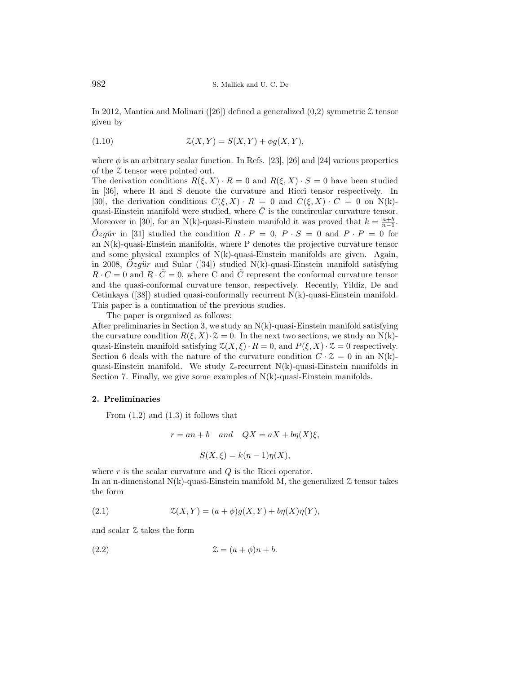In 2012, Mantica and Molinari ([26]) defined a generalized  $(0,2)$  symmetric  $\mathcal Z$  tensor given by

$$
(1.10)\qquad \qquad \mathcal{Z}(X,Y) = S(X,Y) + \phi g(X,Y),
$$

where  $\phi$  is an arbitrary scalar function. In Refs. [23], [26] and [24] various properties of the Z tensor were pointed out.

The derivation conditions  $R(\xi, X) \cdot R = 0$  and  $R(\xi, X) \cdot S = 0$  have been studied in [36], where R and S denote the curvature and Ricci tensor respectively. In [30], the derivation conditions  $\overline{C}(\xi, X) \cdot R = 0$  and  $\overline{C}(\xi, X) \cdot \overline{C} = 0$  on N(k)quasi-Einstein manifold were studied, where  $\overline{C}$  is the concircular curvature tensor. Moreover in [30], for an N(k)-quasi-Einstein manifold it was proved that  $k = \frac{a+b}{n-1}$ .  $\ddot{O}zg\ddot{u}r$  in [31] studied the condition  $R \cdot P = 0$ ,  $P \cdot S = 0$  and  $P \cdot P = 0$  for an  $N(k)$ -quasi-Einstein manifolds, where P denotes the projective curvature tensor and some physical examples of  $N(k)$ -quasi-Einstein manifolds are given. Again, in 2008,  $Ozg\ddot{u}r$  and Sular ([34]) studied N(k)-quasi-Einstein manifold satisfying  $R \cdot C = 0$  and  $R \cdot \tilde{C} = 0$ , where C and  $\tilde{C}$  represent the conformal curvature tensor and the quasi-conformal curvature tensor, respectively. Recently, Yildiz, De and Cetinkaya  $(38)$  studied quasi-conformally recurrent  $N(k)$ -quasi-Einstein manifold. This paper is a continuation of the previous studies.

The paper is organized as follows:

After preliminaries in Section 3, we study an  $N(k)$ -quasi-Einstein manifold satisfying the curvature condition  $R(\xi, X) \cdot \mathcal{Z} = 0$ . In the next two sections, we study an N(k)quasi-Einstein manifold satisfying  $\mathcal{Z}(X,\xi) \cdot R = 0$ , and  $P(\xi, X) \cdot \mathcal{Z} = 0$  respectively. Section 6 deals with the nature of the curvature condition  $C \cdot \mathcal{Z} = 0$  in an N(k)quasi-Einstein manifold. We study Z-recurrent N(k)-quasi-Einstein manifolds in Section 7. Finally, we give some examples of  $N(k)$ -quasi-Einstein manifolds.

#### 2. Preliminaries

From  $(1.2)$  and  $(1.3)$  it follows that

$$
r = an + b
$$
 and  $QX = aX + b\eta(X)\xi$ ,  

$$
S(X,\xi) = k(n-1)\eta(X),
$$

where  $r$  is the scalar curvature and  $Q$  is the Ricci operator. In an n-dimensional  $N(k)$ -quasi-Einstein manifold M, the generalized  $\mathcal Z$  tensor takes the form

(2.1) 
$$
\mathcal{Z}(X,Y) = (a+\phi)g(X,Y) + b\eta(X)\eta(Y),
$$

and scalar Z takes the form

(2.2) Z = (a + φ)n + b.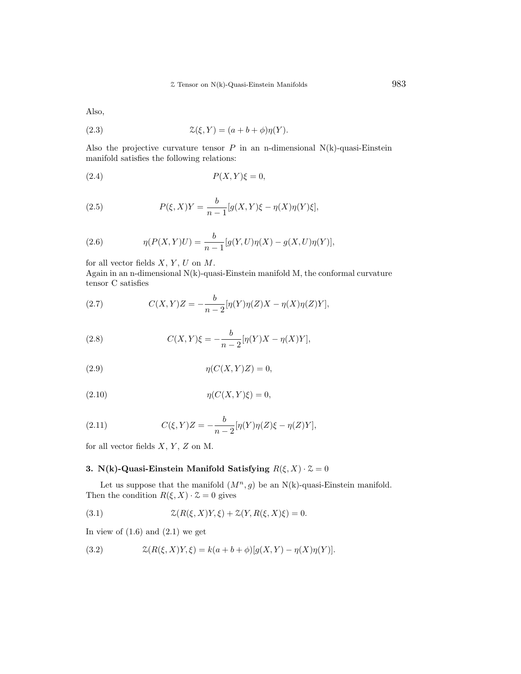Also,

(2.3) 
$$
\mathcal{Z}(\xi, Y) = (a + b + \phi)\eta(Y).
$$

Also the projective curvature tensor  $P$  in an n-dimensional N(k)-quasi-Einstein manifold satisfies the following relations:

$$
(2.4) \t\t P(X,Y)\xi = 0,
$$

(2.5) 
$$
P(\xi, X)Y = \frac{b}{n-1} [g(X, Y)\xi - \eta(X)\eta(Y)\xi],
$$

(2.6) 
$$
\eta(P(X,Y)U) = \frac{b}{n-1} [g(Y,U)\eta(X) - g(X,U)\eta(Y)],
$$

for all vector fields  $X, Y, U$  on  $M$ .

Again in an n-dimensional  $N(k)$ -quasi-Einstein manifold M, the conformal curvature tensor C satisfies

(2.7) 
$$
C(X,Y)Z = -\frac{b}{n-2}[\eta(Y)\eta(Z)X - \eta(X)\eta(Z)Y],
$$

(2.8) 
$$
C(X,Y)\xi = -\frac{b}{n-2}[\eta(Y)X - \eta(X)Y],
$$

$$
(2.9) \t\t \eta(C(X,Y)Z) = 0,
$$

$$
(2.10) \t\t \eta(C(X,Y)\xi) = 0,
$$

(2.11) 
$$
C(\xi, Y)Z = -\frac{b}{n-2} [\eta(Y)\eta(Z)\xi - \eta(Z)Y],
$$

for all vector fields  $X, Y, Z$  on M.

## 3. N(k)-Quasi-Einstein Manifold Satisfying  $R(\xi, X) \cdot \mathcal{Z} = 0$

Let us suppose that the manifold  $(M^n, g)$  be an N(k)-quasi-Einstein manifold. Then the condition  $R(\xi, X) \cdot \mathcal{Z} = 0$  gives

(3.1) 
$$
\mathcal{Z}(R(\xi, X)Y, \xi) + \mathcal{Z}(Y, R(\xi, X)\xi) = 0.
$$

In view of  $(1.6)$  and  $(2.1)$  we get

(3.2) 
$$
\mathcal{Z}(R(\xi, X)Y, \xi) = k(a + b + \phi)[g(X, Y) - \eta(X)\eta(Y)].
$$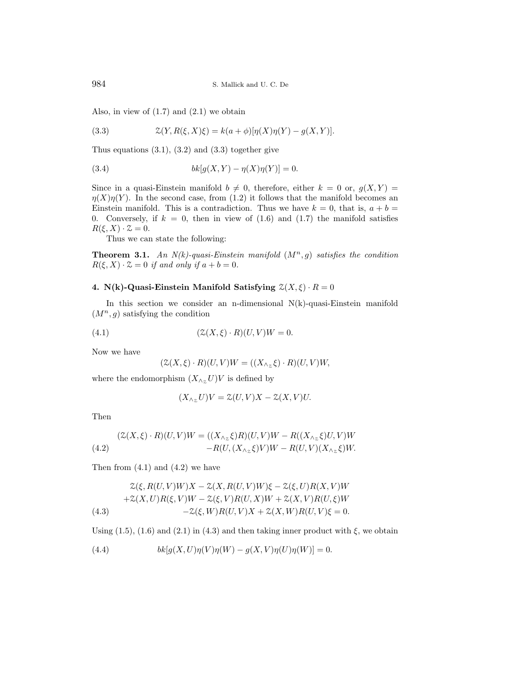Also, in view of  $(1.7)$  and  $(2.1)$  we obtain

(3.3) 
$$
\mathcal{Z}(Y, R(\xi, X)\xi) = k(a+\phi)[\eta(X)\eta(Y) - g(X, Y)].
$$

Thus equations  $(3.1)$ ,  $(3.2)$  and  $(3.3)$  together give

(3.4) 
$$
bk[g(X, Y) - \eta(X)\eta(Y)] = 0.
$$

Since in a quasi-Einstein manifold  $b \neq 0$ , therefore, either  $k = 0$  or,  $g(X, Y) =$  $\eta(X)\eta(Y)$ . In the second case, from (1.2) it follows that the manifold becomes an Einstein manifold. This is a contradiction. Thus we have  $k = 0$ , that is,  $a + b =$ 0. Conversely, if  $k = 0$ , then in view of  $(1.6)$  and  $(1.7)$  the manifold satisfies  $R(\xi, X) \cdot \mathcal{Z} = 0.$ 

Thus we can state the following:

**Theorem 3.1.** An  $N(k)$ -quasi-Einstein manifold  $(M^n, q)$  satisfies the condition  $R(\xi, X) \cdot \mathcal{Z} = 0$  if and only if  $a + b = 0$ .

### 4. N(k)-Quasi-Einstein Manifold Satisfying  $\mathcal{Z}(X,\xi) \cdot R = 0$

In this section we consider an n-dimensional  $N(k)$ -quasi-Einstein manifold  $(M^n, g)$  satisfying the condition

$$
(4.1) \qquad \qquad (\mathcal{Z}(X,\xi)\cdot R)(U,V)W = 0.
$$

Now we have

$$
(\mathcal{Z}(X,\xi)\cdot R)(U,V)W=((X_{\wedge_{\mathcal{Z}}}\xi)\cdot R)(U,V)W,
$$

where the endomorphism  $(X_{\wedge z}U)V$  is defined by

$$
(X_{\wedge z}U)V = \mathcal{Z}(U,V)X - \mathcal{Z}(X,V)U.
$$

Then

(4.2) 
$$
(Z(X,\xi)\cdot R)(U,V)W = ((X_{\wedge_Z}\xi)R)(U,V)W - R((X_{\wedge_Z}\xi)U,V)W -R(U,(X_{\wedge_Z}\xi)V)W - R(U,V)(X_{\wedge_Z}\xi)W.
$$

Then from  $(4.1)$  and  $(4.2)$  we have

$$
\mathcal{Z}(\xi, R(U,V)W)X - \mathcal{Z}(X, R(U,V)W)\xi - \mathcal{Z}(\xi, U)R(X,V)W
$$
  
+
$$
\mathcal{Z}(X,U)R(\xi,V)W - \mathcal{Z}(\xi,V)R(U,X)W + \mathcal{Z}(X,V)R(U,\xi)W
$$
  
(4.3)  

$$
-\mathcal{Z}(\xi,W)R(U,V)X + \mathcal{Z}(X,W)R(U,V)\xi = 0.
$$

Using  $(1.5)$ ,  $(1.6)$  and  $(2.1)$  in  $(4.3)$  and then taking inner product with  $\xi$ , we obtain

(4.4) 
$$
bk[g(X, U)\eta(V)\eta(W) - g(X, V)\eta(U)\eta(W)] = 0.
$$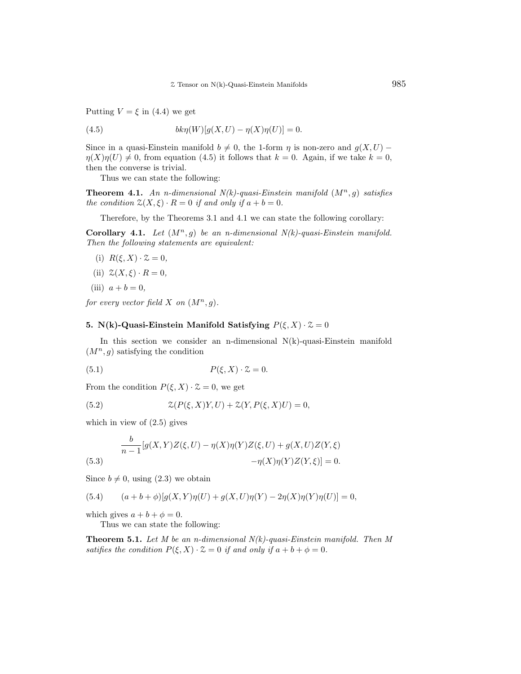Putting  $V = \xi$  in (4.4) we get

(4.5) 
$$
bk\eta(W)[g(X, U) - \eta(X)\eta(U)] = 0.
$$

Since in a quasi-Einstein manifold  $b \neq 0$ , the 1-form  $\eta$  is non-zero and  $g(X, U)$  –  $\eta(X)\eta(U) \neq 0$ , from equation (4.5) it follows that  $k = 0$ . Again, if we take  $k = 0$ , then the converse is trivial.

Thus we can state the following:

**Theorem 4.1.** An n-dimensional  $N(k)$ -quasi-Einstein manifold  $(M^n, g)$  satisfies the condition  $\mathfrak{L}(X,\xi) \cdot R = 0$  if and only if  $a + b = 0$ .

Therefore, by the Theorems 3.1 and 4.1 we can state the following corollary:

Corollary 4.1. Let  $(M^n, g)$  be an n-dimensional  $N(k)$ -quasi-Einstein manifold. Then the following statements are equivalent:

- (i)  $R(\xi, X) \cdot \mathcal{Z} = 0$ ,
- (ii)  $\mathcal{Z}(X,\xi)\cdot R=0,$
- (iii)  $a + b = 0$ ,

for every vector field X on  $(M^n, g)$ .

### 5. N(k)-Quasi-Einstein Manifold Satisfying  $P(\xi, X) \cdot \mathcal{Z} = 0$

In this section we consider an n-dimensional  $N(k)$ -quasi-Einstein manifold  $(M^n, g)$  satisfying the condition

$$
(5.1) \t\t P(\xi, X) \cdot \mathcal{Z} = 0.
$$

From the condition  $P(\xi, X) \cdot \mathcal{Z} = 0$ , we get

(5.2) 
$$
\mathcal{Z}(P(\xi, X)Y, U) + \mathcal{Z}(Y, P(\xi, X)U) = 0,
$$

which in view of (2.5) gives

(5.3) 
$$
\frac{b}{n-1}[g(X,Y)Z(\xi,U) - \eta(X)\eta(Y)Z(\xi,U) + g(X,U)Z(Y,\xi) - \eta(X)\eta(Y)Z(Y,\xi)] = 0.
$$

Since  $b \neq 0$ , using (2.3) we obtain

(5.4) 
$$
(a+b+\phi)[g(X,Y)\eta(U)+g(X,U)\eta(Y)-2\eta(X)\eta(Y)\eta(U)]=0,
$$

which gives  $a + b + \phi = 0$ .

Thus we can state the following:

**Theorem 5.1.** Let M be an n-dimensional  $N(k)$ -quasi-Einstein manifold. Then M satifies the condition  $P(\xi, X) \cdot \mathcal{Z} = 0$  if and only if  $a + b + \phi = 0$ .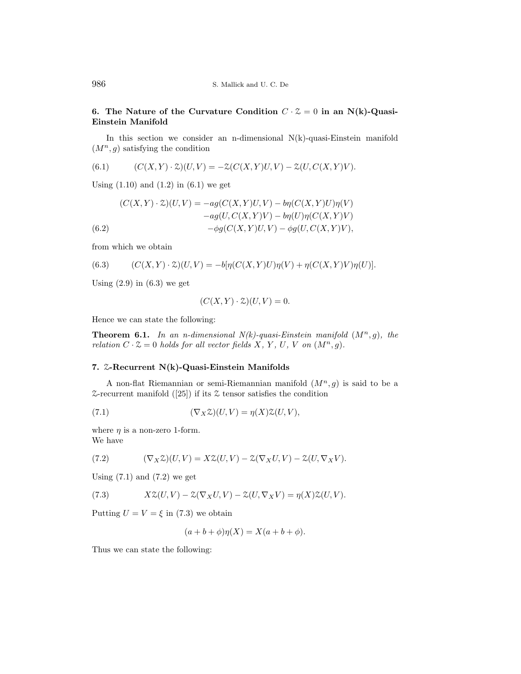### 6. The Nature of the Curvature Condition  $C \cdot \mathcal{Z} = 0$  in an N(k)-Quasi-Einstein Manifold

In this section we consider an n-dimensional  $N(k)$ -quasi-Einstein manifold  $(M^n, g)$  satisfying the condition

(6.1) 
$$
(C(X,Y) \cdot \mathcal{Z})(U,V) = -\mathcal{Z}(C(X,Y)U,V) - \mathcal{Z}(U,C(X,Y)V).
$$

Using  $(1.10)$  and  $(1.2)$  in  $(6.1)$  we get

$$
(C(X,Y) \cdot \mathcal{Z})(U,V) = -ag(C(X,Y)U,V) - b\eta(C(X,Y)U)\eta(V)
$$

$$
-ag(U,C(X,Y)V) - b\eta(U)\eta(C(X,Y)V)
$$

$$
(6.2)
$$

$$
- \phi g(C(X,Y)U,V) - \phi g(U,C(X,Y)V),
$$

from which we obtain

(6.3) 
$$
(C(X,Y)\cdot \mathcal{Z})(U,V) = -b[\eta(C(X,Y)U)\eta(V) + \eta(C(X,Y)V)\eta(U)].
$$

Using  $(2.9)$  in  $(6.3)$  we get

$$
(C(X, Y) \cdot \mathcal{Z})(U, V) = 0.
$$

Hence we can state the following:

**Theorem 6.1.** In an n-dimensional  $N(k)$ -quasi-Einstein manifold  $(M^n, g)$ , the relation  $C \cdot \mathcal{Z} = 0$  holds for all vector fields X, Y, U, V on  $(M^n, g)$ .

#### 7. Z-Recurrent N(k)-Quasi-Einstein Manifolds

A non-flat Riemannian or semi-Riemannian manifold  $(M^n, g)$  is said to be a  $\mathcal{Z}\text{-recurrent manifold }([25])$  if its  $\mathcal Z$  tensor satisfies the condition

(7.1) 
$$
(\nabla_X \mathcal{Z})(U, V) = \eta(X)\mathcal{Z}(U, V),
$$

where  $\eta$  is a non-zero 1-form. We have

(7.2) 
$$
(\nabla_X \mathcal{Z})(U,V) = X\mathcal{Z}(U,V) - \mathcal{Z}(\nabla_X U,V) - \mathcal{Z}(U,\nabla_X V).
$$

Using  $(7.1)$  and  $(7.2)$  we get

(7.3) 
$$
X\mathcal{Z}(U,V) - \mathcal{Z}(\nabla_X U,V) - \mathcal{Z}(U,\nabla_X V) = \eta(X)\mathcal{Z}(U,V).
$$

Putting  $U = V = \xi$  in (7.3) we obtain

$$
(a+b+\phi)\eta(X) = X(a+b+\phi).
$$

Thus we can state the following: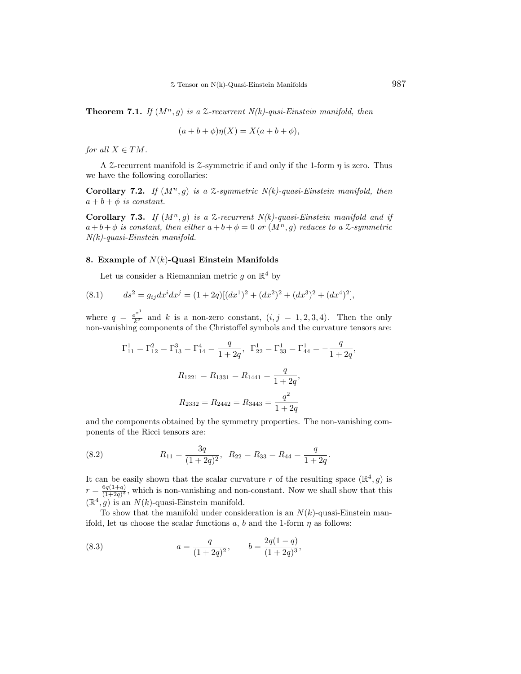**Theorem 7.1.** If  $(M^n, q)$  is a  $\mathcal{Z}$ -recurrent  $N(k)$ -qusi-Einstein manifold, then

$$
(a+b+\phi)\eta(X) = X(a+b+\phi),
$$

for all  $X \in TM$ .

A Z-recurrent manifold is Z-symmetric if and only if the 1-form  $\eta$  is zero. Thus we have the following corollaries:

Corollary 7.2. If  $(M^n, g)$  is a  $\mathfrak{S}$ -symmetric N(k)-quasi-Einstein manifold, then  $a + b + \phi$  is constant.

Corollary 7.3. If  $(M^n, g)$  is a  $\mathcal{Z}$ -recurrent  $N(k)$ -quasi-Einstein manifold and if  $a+b+\phi$  is constant, then either  $a+b+\phi=0$  or  $(M^n, g)$  reduces to a  $\mathcal{Z}$ -symmetric N(k)-quasi-Einstein manifold.

### 8. Example of  $N(k)$ -Quasi Einstein Manifolds

Let us consider a Riemannian metric  $g$  on  $\mathbb{R}^4$  by

(8.1) 
$$
ds^{2} = g_{ij}dx^{i}dx^{j} = (1+2q)[(dx^{1})^{2} + (dx^{2})^{2} + (dx^{3})^{2} + (dx^{4})^{2}],
$$

where  $q = \frac{e^{x^1}}{k^2}$  and k is a non-zero constant,  $(i, j = 1, 2, 3, 4)$ . Then the only non-vanishing components of the Christoffel symbols and the curvature tensors are:

$$
\Gamma_{11}^{1} = \Gamma_{12}^{2} = \Gamma_{13}^{3} = \Gamma_{14}^{4} = \frac{q}{1+2q}, \ \Gamma_{22}^{1} = \Gamma_{33}^{1} = \Gamma_{44}^{1} = -\frac{q}{1+2q},
$$

$$
R_{1221} = R_{1331} = R_{1441} = \frac{q}{1+2q},
$$

$$
R_{2332} = R_{2442} = R_{3443} = \frac{q^{2}}{1+2q}
$$

and the components obtained by the symmetry properties. The non-vanishing components of the Ricci tensors are:

(8.2) 
$$
R_{11} = \frac{3q}{(1+2q)^2}, \ \ R_{22} = R_{33} = R_{44} = \frac{q}{1+2q}.
$$

It can be easily shown that the scalar curvature r of the resulting space  $(\mathbb{R}^4, g)$  is  $r = \frac{6q(1+q)}{(1+2q)^3}$  $\frac{6q(1+q)}{(1+2q)^3}$ , which is non-vanishing and non-constant. Now we shall show that this  $(\mathbb{R}^4, g)$  is an  $N(k)$ -quasi-Einstein manifold.

To show that the manifold under consideration is an  $N(k)$ -quasi-Einstein manifold, let us choose the scalar functions a, b and the 1-form  $\eta$  as follows:

(8.3) 
$$
a = \frac{q}{(1+2q)^2}, \qquad b = \frac{2q(1-q)}{(1+2q)^3},
$$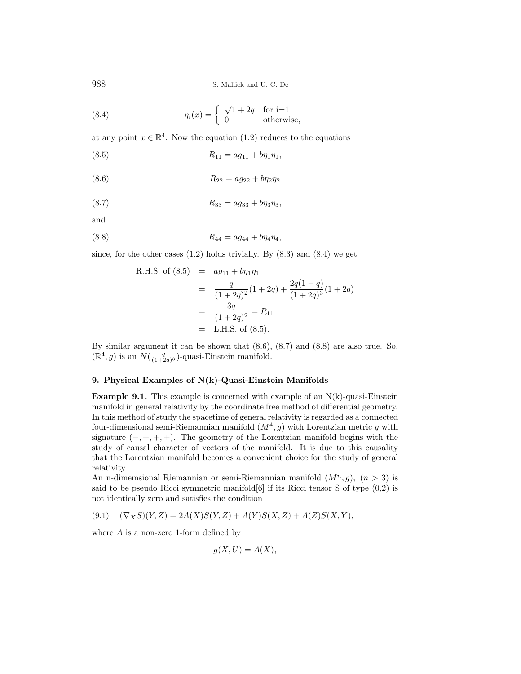988 S. Mallick and U. C. De

(8.4) 
$$
\eta_i(x) = \begin{cases} \sqrt{1+2q} & \text{for } i=1\\ 0 & \text{otherwise,} \end{cases}
$$

at any point  $x \in \mathbb{R}^4$ . Now the equation (1.2) reduces to the equations

$$
(8.5) \t\t R_{11} = a g_{11} + b \eta_1 \eta_1,
$$

(8.6) 
$$
R_{22} = a g_{22} + b \eta_2 \eta_2
$$

$$
(8.7) \t\t R_{33} = a g_{33} + b \eta_3 \eta_3,
$$

and

$$
(8.8) \t\t R_{44} = a g_{44} + b \eta_4 \eta_4,
$$

since, for the other cases  $(1.2)$  holds trivially. By  $(8.3)$  and  $(8.4)$  we get

R.H.S. of (8.5) = 
$$
ag_{11} + b\eta_1 \eta_1
$$
  
\n=  $\frac{q}{(1+2q)^2}(1+2q) + \frac{2q(1-q)}{(1+2q)^3}(1+2q)$   
\n=  $\frac{3q}{(1+2q)^2} = R_{11}$   
\n= L.H.S. of (8.5).

By similar argument it can be shown that (8.6), (8.7) and (8.8) are also true. So,  $(\mathbb{R}^4, g)$  is an  $N(\frac{q}{(1+2q)^3})$ -quasi-Einstein manifold.

### 9. Physical Examples of N(k)-Quasi-Einstein Manifolds

**Example 9.1.** This example is concerned with example of an  $N(k)$ -quasi-Einstein manifold in general relativity by the coordinate free method of differential geometry. In this method of study the spacetime of general relativity is regarded as a connected four-dimensional semi-Riemannian manifold  $(M^4, g)$  with Lorentzian metric g with signature  $(-, +, +, +)$ . The geometry of the Lorentzian manifold begins with the study of causal character of vectors of the manifold. It is due to this causality that the Lorentzian manifold becomes a convenient choice for the study of general relativity.

An n-dimemsional Riemannian or semi-Riemannian manifold  $(M^n, g)$ ,  $(n > 3)$  is said to be pseudo Ricci symmetric manifold $[6]$  if its Ricci tensor S of type  $(0,2)$  is not identically zero and satisfies the condition

(9.1)  $(\nabla_X S)(Y, Z) = 2A(X)S(Y, Z) + A(Y)S(X, Z) + A(Z)S(X, Y),$ 

where A is a non-zero 1-form defined by

$$
g(X, U) = A(X),
$$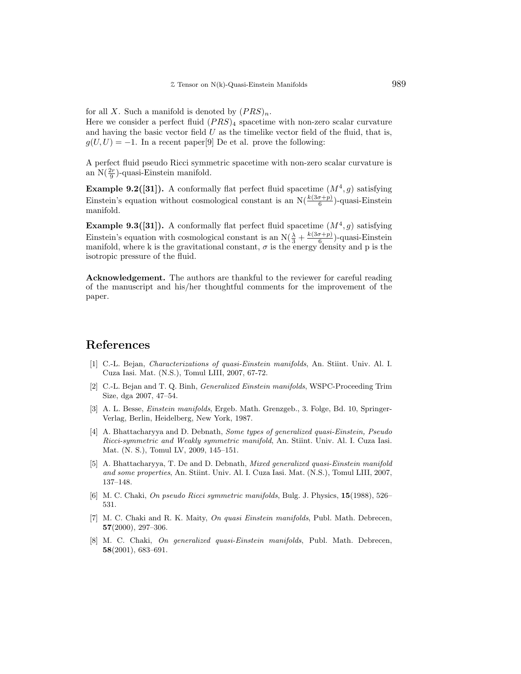for all X. Such a manifold is denoted by  $(PRS)_n$ .

Here we consider a perfect fluid  $(PRS)_4$  spacetime with non-zero scalar curvature and having the basic vector field  $U$  as the timelike vector field of the fluid, that is,  $g(U, U) = -1$ . In a recent paper[9] De et al. prove the following:

A perfect fluid pseudo Ricci symmetric spacetime with non-zero scalar curvature is an  $N(\frac{2r}{9})$ -quasi-Einstein manifold.

**Example 9.2([31]).** A conformally flat perfect fluid spacetime  $(M^4, g)$  satisfying Einstein's equation without cosmological constant is an  $N(\frac{k(3\sigma+p)}{6})$ -quasi-Einstein manifold.

**Example 9.3([31]).** A conformally flat perfect fluid spacetime  $(M^4, g)$  satisfying Einstein's equation with cosmological constant is an  $N(\frac{\lambda}{3} + \frac{k(3\sigma + p)}{6})$  $\frac{\sigma+p_j}{6}$ )-quasi-Einstein manifold, where k is the gravitational constant,  $\sigma$  is the energy density and p is the isotropic pressure of the fluid.

Acknowledgement. The authors are thankful to the reviewer for careful reading of the manuscript and his/her thoughtful comments for the improvement of the paper.

# References

- [1] C.-L. Bejan, Characterizations of quasi-Einstein manifolds, An. Stiint. Univ. Al. I. Cuza Iasi. Mat. (N.S.), Tomul LIII, 2007, 67-72.
- [2] C.-L. Bejan and T. Q. Binh, Generalized Einstein manifolds, WSPC-Proceeding Trim Size, dga 2007, 47–54.
- [3] A. L. Besse, Einstein manifolds, Ergeb. Math. Grenzgeb., 3. Folge, Bd. 10, Springer-Verlag, Berlin, Heidelberg, New York, 1987.
- [4] A. Bhattacharyya and D. Debnath, Some types of generalized quasi-Einstein, Pseudo Ricci-symmetric and Weakly symmetric manifold, An. Stiint. Univ. Al. I. Cuza Iasi. Mat. (N. S.), Tomul LV, 2009, 145–151.
- [5] A. Bhattacharyya, T. De and D. Debnath, Mixed generalized quasi-Einstein manifold and some properties, An. Stiint. Univ. Al. I. Cuza Iasi. Mat. (N.S.), Tomul LIII, 2007, 137–148.
- [6] M. C. Chaki, On pseudo Ricci symmetric manifolds, Bulg. J. Physics, 15(1988), 526– 531.
- [7] M. C. Chaki and R. K. Maity, On quasi Einstein manifolds, Publ. Math. Debrecen, 57(2000), 297–306.
- [8] M. C. Chaki, On generalized quasi-Einstein manifolds, Publ. Math. Debrecen, 58(2001), 683–691.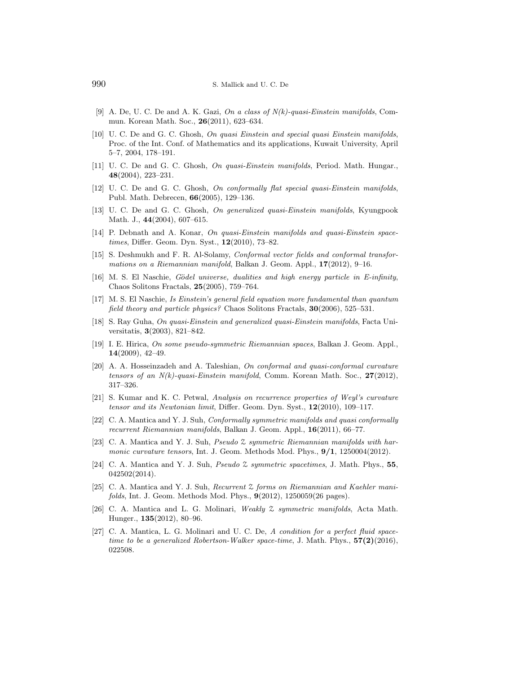- [9] A. De, U. C. De and A. K. Gazi, On a class of N(k)-quasi-Einstein manifolds, Commun. Korean Math. Soc., 26(2011), 623–634.
- [10] U. C. De and G. C. Ghosh, On quasi Einstein and special quasi Einstein manifolds, Proc. of the Int. Conf. of Mathematics and its applications, Kuwait University, April 5–7, 2004, 178–191.
- [11] U. C. De and G. C. Ghosh, On quasi-Einstein manifolds, Period. Math. Hungar., 48(2004), 223–231.
- [12] U. C. De and G. C. Ghosh, On conformally flat special quasi-Einstein manifolds, Publ. Math. Debrecen, 66(2005), 129–136.
- [13] U. C. De and G. C. Ghosh, On generalized quasi-Einstein manifolds, Kyungpook Math. J., 44(2004), 607–615.
- [14] P. Debnath and A. Konar, On quasi-Einstein manifolds and quasi-Einstein spacetimes, Differ. Geom. Dyn. Syst., 12(2010), 73-82.
- [15] S. Deshmukh and F. R. Al-Solamy, Conformal vector fields and conformal transformations on a Riemannian manifold, Balkan J. Geom. Appl., 17(2012), 9–16.
- [16] M. S. El Naschie, Gödel universe, dualities and high energy particle in E-infinity, Chaos Solitons Fractals, 25(2005), 759–764.
- [17] M. S. El Naschie, Is Einstein's general field equation more fundamental than quantum field theory and particle physics? Chaos Solitons Fractals, 30(2006), 525–531.
- [18] S. Ray Guha, On quasi-Einstein and generalized quasi-Einstein manifolds, Facta Universitatis, 3(2003), 821–842.
- [19] I. E. Hirica, On some pseudo-symmetric Riemannian spaces, Balkan J. Geom. Appl., 14(2009), 42–49.
- [20] A. A. Hosseinzadeh and A. Taleshian, On conformal and quasi-conformal curvature tensors of an  $N(k)$ -quasi-Einstein manifold, Comm. Korean Math. Soc., 27(2012), 317–326.
- [21] S. Kumar and K. C. Petwal, Analysis on recurrence properties of Weyl's curvature tensor and its Newtonian limit, Differ. Geom. Dyn. Syst.,  $12(2010)$ , 109-117.
- [22] C. A. Mantica and Y. J. Suh, Conformally symmetric manifolds and quasi conformally recurrent Riemannian manifolds, Balkan J. Geom. Appl., 16(2011), 66-77.
- [23] C. A. Mantica and Y. J. Suh, Pseudo Z symmetric Riemannian manifolds with harmonic curvature tensors, Int. J. Geom. Methods Mod. Phys.,  $9/1$ , 1250004(2012).
- [24] C. A. Mantica and Y. J. Suh, *Pseudo*  $\&$  *symmetric spacetimes*, J. Math. Phys., 55, 042502(2014).
- [25] C. A. Mantica and Y. J. Suh, Recurrent Z forms on Riemannian and Kaehler manifolds, Int. J. Geom. Methods Mod. Phys., 9(2012), 1250059(26 pages).
- [26] C. A. Mantica and L. G. Molinari, Weakly Z symmetric manifolds, Acta Math. Hunger., 135(2012), 80–96.
- [27] C. A. Mantica, L. G. Molinari and U. C. De, A condition for a perfect fluid spacetime to be a generalized Robertson-Walker space-time, J. Math. Phys.,  $57(2)(2016)$ , 022508.